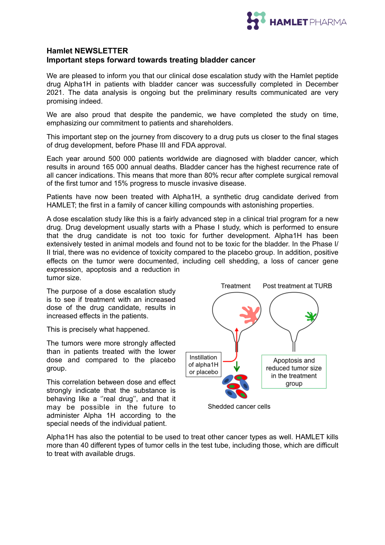

## **Hamlet NEWSLETTER Important steps forward towards treating bladder cancer**

We are pleased to inform you that our clinical dose escalation study with the Hamlet peptide drug Alpha1H in patients with bladder cancer was successfully completed in December 2021. The data analysis is ongoing but the preliminary results communicated are very promising indeed.

We are also proud that despite the pandemic, we have completed the study on time, emphasizing our commitment to patients and shareholders.

This important step on the journey from discovery to a drug puts us closer to the final stages of drug development, before Phase III and FDA approval.

Each year around 500 000 patients worldwide are diagnosed with bladder cancer, which results in around 165 000 annual deaths. Bladder cancer has the highest recurrence rate of all cancer indications. This means that more than 80% recur after complete surgical removal of the first tumor and 15% progress to muscle invasive disease.

Patients have now been treated with Alpha1H, a synthetic drug candidate derived from HAMLET; the first in a family of cancer killing compounds with astonishing properties.

A dose escalation study like this is a fairly advanced step in a clinical trial program for a new drug. Drug development usually starts with a Phase I study, which is performed to ensure that the drug candidate is not too toxic for further development. Alpha1H has been extensively tested in animal models and found not to be toxic for the bladder. In the Phase I/ II trial, there was no evidence of toxicity compared to the placebo group. In addition, positive effects on the tumor were documented, including cell shedding, a loss of cancer gene expression, apoptosis and a reduction in tumor size.

The purpose of a dose escalation study is to see if treatment with an increased dose of the drug candidate, results in increased effects in the patients.

This is precisely what happened.

The tumors were more strongly affected than in patients treated with the lower dose and compared to the placebo group.

This correlation between dose and effect strongly indicate that the substance is behaving like a "real drug", and that it may be possible in the future to administer Alpha 1H according to the special needs of the individual patient.



Shedded cancer cells

Alpha1H has also the potential to be used to treat other cancer types as well. HAMLET kills more than 40 different types of tumor cells in the test tube, including those, which are difficult to treat with available drugs.